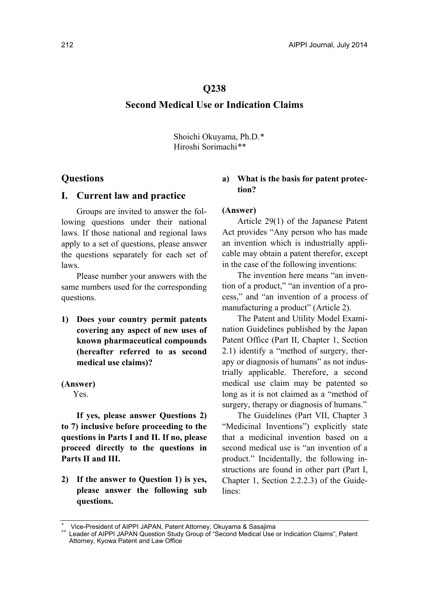## **Q238**

# **Second Medical Use or Indication Claims**

Shoichi Okuyama, Ph.D.\* Hiroshi Sorimachi\*\*

# **Questions**

### **I. Current law and practice**

Groups are invited to answer the following questions under their national laws. If those national and regional laws apply to a set of questions, please answer the questions separately for each set of laws.

Please number your answers with the same numbers used for the corresponding questions.

**1) Does your country permit patents covering any aspect of new uses of known pharmaceutical compounds (hereafter referred to as second medical use claims)?** 

## **(Answer)**

Yes.

**If yes, please answer Questions 2) to 7) inclusive before proceeding to the questions in Parts I and II. If no, please proceed directly to the questions in Parts II and III.** 

**2) If the answer to Question 1) is yes, please answer the following sub questions.** 

# **a) What is the basis for patent protection?**

### **(Answer)**

Article 29(1) of the Japanese Patent Act provides "Any person who has made an invention which is industrially applicable may obtain a patent therefor, except in the case of the following inventions:

The invention here means "an invention of a product," "an invention of a process," and "an invention of a process of manufacturing a product" (Article 2).

The Patent and Utility Model Examination Guidelines published by the Japan Patent Office (Part II, Chapter 1, Section 2.1) identify a "method of surgery, therapy or diagnosis of humans" as not industrially applicable. Therefore, a second medical use claim may be patented so long as it is not claimed as a "method of surgery, therapy or diagnosis of humans."

The Guidelines (Part VII, Chapter 3 "Medicinal Inventions") explicitly state that a medicinal invention based on a second medical use is "an invention of a product." Incidentally, the following instructions are found in other part (Part I, Chapter 1, Section 2.2.2.3) of the Guidelines:

Vice-President of AIPPI JAPAN, Patent Attorney, Okuyama & Sasajima<br>Leader of AIPPI JAPAN Question Study Group of "Second Medical Use or Indication Claims", Patent Attorney, Kyowa Patent and Law Office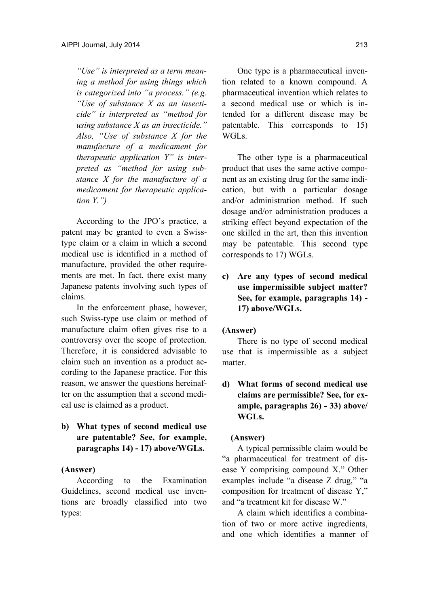*"Use" is interpreted as a term meaning a method for using things which is categorized into "a process." (e.g. "Use of substance X as an insecticide" is interpreted as "method for using substance X as an insecticide." Also, "Use of substance X for the manufacture of a medicament for therapeutic application Y" is interpreted as "method for using substance X for the manufacture of a medicament for therapeutic application Y.")* 

According to the JPO's practice, a patent may be granted to even a Swisstype claim or a claim in which a second medical use is identified in a method of manufacture, provided the other requirements are met. In fact, there exist many Japanese patents involving such types of claims.

In the enforcement phase, however, such Swiss-type use claim or method of manufacture claim often gives rise to a controversy over the scope of protection. Therefore, it is considered advisable to claim such an invention as a product according to the Japanese practice. For this reason, we answer the questions hereinafter on the assumption that a second medical use is claimed as a product.

**b) What types of second medical use are patentable? See, for example, paragraphs 14) - 17) above/WGLs.** 

## **(Answer)**

According to the Examination Guidelines, second medical use inventions are broadly classified into two types:

One type is a pharmaceutical invention related to a known compound. A pharmaceutical invention which relates to a second medical use or which is intended for a different disease may be patentable. This corresponds to 15) WGLs.

The other type is a pharmaceutical product that uses the same active component as an existing drug for the same indication, but with a particular dosage and/or administration method. If such dosage and/or administration produces a striking effect beyond expectation of the one skilled in the art, then this invention may be patentable. This second type corresponds to 17) WGLs.

**c) Are any types of second medical use impermissible subject matter? See, for example, paragraphs 14) - 17) above/WGLs.** 

### **(Answer)**

There is no type of second medical use that is impermissible as a subject matter.

**d) What forms of second medical use claims are permissible? See, for example, paragraphs 26) - 33) above/ WGLs.** 

### **(Answer)**

A typical permissible claim would be "a pharmaceutical for treatment of disease Y comprising compound X." Other examples include "a disease Z drug," "a composition for treatment of disease Y," and "a treatment kit for disease W."

A claim which identifies a combination of two or more active ingredients, and one which identifies a manner of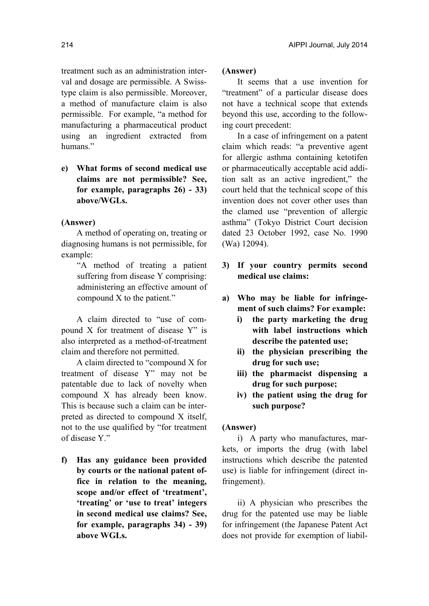treatment such as an administration interval and dosage are permissible. A Swisstype claim is also permissible. Moreover, a method of manufacture claim is also permissible. For example, "a method for manufacturing a pharmaceutical product using an ingredient extracted from humans<sup>"</sup>

**e) What forms of second medical use claims are not permissible? See, for example, paragraphs 26) - 33) above/WGLs.** 

#### **(Answer)**

A method of operating on, treating or diagnosing humans is not permissible, for example:

"A method of treating a patient suffering from disease Y comprising: administering an effective amount of compound X to the patient."

A claim directed to "use of compound X for treatment of disease Y" is also interpreted as a method-of-treatment claim and therefore not permitted.

A claim directed to "compound X for treatment of disease Y" may not be patentable due to lack of novelty when compound X has already been know. This is because such a claim can be interpreted as directed to compound X itself, not to the use qualified by "for treatment of disease Y."

**f) Has any guidance been provided by courts or the national patent office in relation to the meaning, scope and/or effect of 'treatment', 'treating' or 'use to treat' integers in second medical use claims? See, for example, paragraphs 34) - 39) above WGLs.** 

# **(Answer)**

It seems that a use invention for "treatment" of a particular disease does not have a technical scope that extends beyond this use, according to the following court precedent:

In a case of infringement on a patent claim which reads: "a preventive agent for allergic asthma containing ketotifen or pharmaceutically acceptable acid addition salt as an active ingredient," the court held that the technical scope of this invention does not cover other uses than the clamed use "prevention of allergic asthma" (Tokyo District Court decision dated 23 October 1992, case No. 1990 (Wa) 12094).

- **3) If your country permits second medical use claims:**
- **a) Who may be liable for infringement of such claims? For example:** 
	- **i) the party marketing the drug with label instructions which describe the patented use;**
	- **ii) the physician prescribing the drug for such use;**
	- **iii) the pharmacist dispensing a drug for such purpose;**
	- **iv) the patient using the drug for such purpose?**

#### **(Answer)**

i) A party who manufactures, markets, or imports the drug (with label instructions which describe the patented use) is liable for infringement (direct infringement).

ii) A physician who prescribes the drug for the patented use may be liable for infringement (the Japanese Patent Act does not provide for exemption of liabil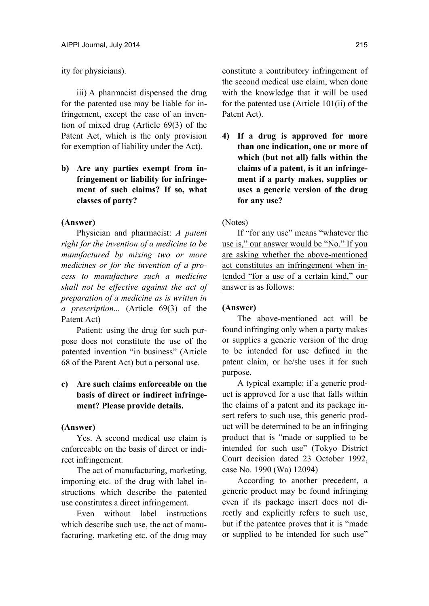ity for physicians).

iii) A pharmacist dispensed the drug for the patented use may be liable for infringement, except the case of an invention of mixed drug (Article 69(3) of the Patent Act, which is the only provision for exemption of liability under the Act).

**b) Are any parties exempt from infringement or liability for infringement of such claims? If so, what classes of party?** 

#### **(Answer)**

Physician and pharmacist: *A patent right for the invention of a medicine to be manufactured by mixing two or more medicines or for the invention of a process to manufacture such a medicine shall not be effective against the act of preparation of a medicine as is written in a prescription...* (Article 69(3) of the Patent Act)

Patient: using the drug for such purpose does not constitute the use of the patented invention "in business" (Article 68 of the Patent Act) but a personal use.

# **c) Are such claims enforceable on the basis of direct or indirect infringement? Please provide details.**

#### **(Answer)**

Yes. A second medical use claim is enforceable on the basis of direct or indirect infringement.

The act of manufacturing, marketing, importing etc. of the drug with label instructions which describe the patented use constitutes a direct infringement.

Even without label instructions which describe such use, the act of manufacturing, marketing etc. of the drug may constitute a contributory infringement of the second medical use claim, when done with the knowledge that it will be used for the patented use (Article 101(ii) of the Patent Act).

**4) If a drug is approved for more than one indication, one or more of which (but not all) falls within the claims of a patent, is it an infringement if a party makes, supplies or uses a generic version of the drug for any use?** 

#### (Notes)

If "for any use" means "whatever the use is," our answer would be "No." If you are asking whether the above-mentioned act constitutes an infringement when intended "for a use of a certain kind," our answer is as follows:

# **(Answer)**

The above-mentioned act will be found infringing only when a party makes or supplies a generic version of the drug to be intended for use defined in the patent claim, or he/she uses it for such purpose.

A typical example: if a generic product is approved for a use that falls within the claims of a patent and its package insert refers to such use, this generic product will be determined to be an infringing product that is "made or supplied to be intended for such use" (Tokyo District Court decision dated 23 October 1992, case No. 1990 (Wa) 12094)

According to another precedent, a generic product may be found infringing even if its package insert does not directly and explicitly refers to such use, but if the patentee proves that it is "made or supplied to be intended for such use"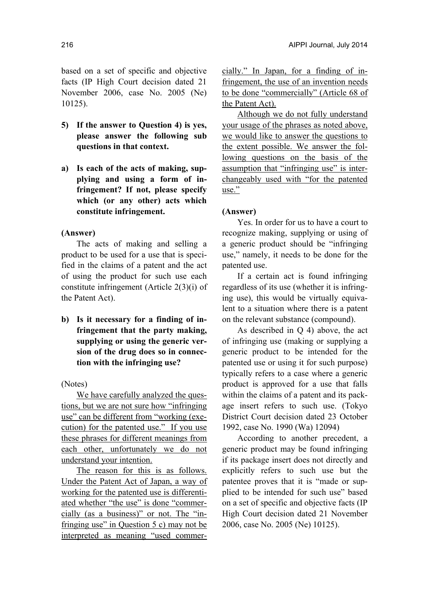based on a set of specific and objective facts (IP High Court decision dated 21 November 2006, case No. 2005 (Ne) 10125).

- **5) If the answer to Question 4) is yes, please answer the following sub questions in that context.**
- **a) Is each of the acts of making, supplying and using a form of infringement? If not, please specify which (or any other) acts which constitute infringement.**

### **(Answer)**

The acts of making and selling a product to be used for a use that is specified in the claims of a patent and the act of using the product for such use each constitute infringement (Article 2(3)(i) of the Patent Act).

**b) Is it necessary for a finding of infringement that the party making, supplying or using the generic version of the drug does so in connection with the infringing use?** 

(Notes)

We have carefully analyzed the questions, but we are not sure how "infringing use" can be different from "working (execution) for the patented use." If you use these phrases for different meanings from each other, unfortunately we do not understand your intention.

The reason for this is as follows. Under the Patent Act of Japan, a way of working for the patented use is differentiated whether "the use" is done "commercially (as a business)" or not. The "infringing use" in Question 5 c) may not be interpreted as meaning "used commercially." In Japan, for a finding of infringement, the use of an invention needs to be done "commercially" (Article 68 of the Patent Act).

Although we do not fully understand your usage of the phrases as noted above, we would like to answer the questions to the extent possible. We answer the following questions on the basis of the assumption that "infringing use" is interchangeably used with "for the patented use."

## **(Answer)**

Yes. In order for us to have a court to recognize making, supplying or using of a generic product should be "infringing use," namely, it needs to be done for the patented use.

If a certain act is found infringing regardless of its use (whether it is infringing use), this would be virtually equivalent to a situation where there is a patent on the relevant substance (compound).

As described in Q 4) above, the act of infringing use (making or supplying a generic product to be intended for the patented use or using it for such purpose) typically refers to a case where a generic product is approved for a use that falls within the claims of a patent and its package insert refers to such use. (Tokyo District Court decision dated 23 October 1992, case No. 1990 (Wa) 12094)

According to another precedent, a generic product may be found infringing if its package insert does not directly and explicitly refers to such use but the patentee proves that it is "made or supplied to be intended for such use" based on a set of specific and objective facts (IP High Court decision dated 21 November 2006, case No. 2005 (Ne) 10125).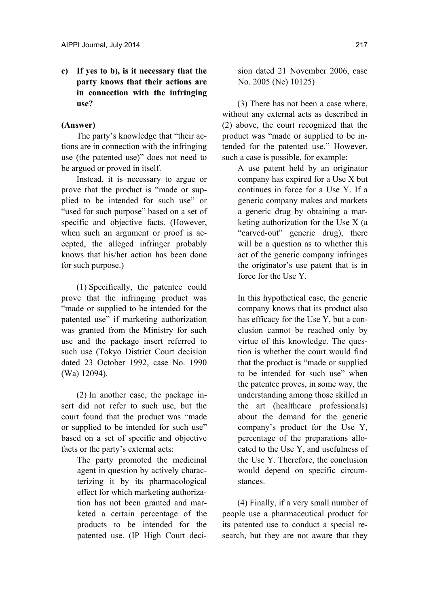**c) If yes to b), is it necessary that the party knows that their actions are in connection with the infringing use?** 

# **(Answer)**

The party's knowledge that "their actions are in connection with the infringing use (the patented use)" does not need to be argued or proved in itself.

Instead, it is necessary to argue or prove that the product is "made or supplied to be intended for such use" or "used for such purpose" based on a set of specific and objective facts. (However, when such an argument or proof is accepted, the alleged infringer probably knows that his/her action has been done for such purpose.)

(1) Specifically, the patentee could prove that the infringing product was "made or supplied to be intended for the patented use" if marketing authorization was granted from the Ministry for such use and the package insert referred to such use (Tokyo District Court decision dated 23 October 1992, case No. 1990 (Wa) 12094).

(2) In another case, the package insert did not refer to such use, but the court found that the product was "made or supplied to be intended for such use" based on a set of specific and objective facts or the party's external acts:

> The party promoted the medicinal agent in question by actively characterizing it by its pharmacological effect for which marketing authorization has not been granted and marketed a certain percentage of the products to be intended for the patented use. (IP High Court deci

sion dated 21 November 2006, case No. 2005 (Ne) 10125)

(3) There has not been a case where, without any external acts as described in (2) above, the court recognized that the product was "made or supplied to be intended for the patented use." However, such a case is possible, for example:

> A use patent held by an originator company has expired for a Use X but continues in force for a Use Y. If a generic company makes and markets a generic drug by obtaining a marketing authorization for the Use X (a "carved-out" generic drug), there will be a question as to whether this act of the generic company infringes the originator's use patent that is in force for the Use Y.

> In this hypothetical case, the generic company knows that its product also has efficacy for the Use Y, but a conclusion cannot be reached only by virtue of this knowledge. The question is whether the court would find that the product is "made or supplied to be intended for such use" when the patentee proves, in some way, the understanding among those skilled in the art (healthcare professionals) about the demand for the generic company's product for the Use Y, percentage of the preparations allocated to the Use Y, and usefulness of the Use Y. Therefore, the conclusion would depend on specific circumstances.

(4) Finally, if a very small number of people use a pharmaceutical product for its patented use to conduct a special research, but they are not aware that they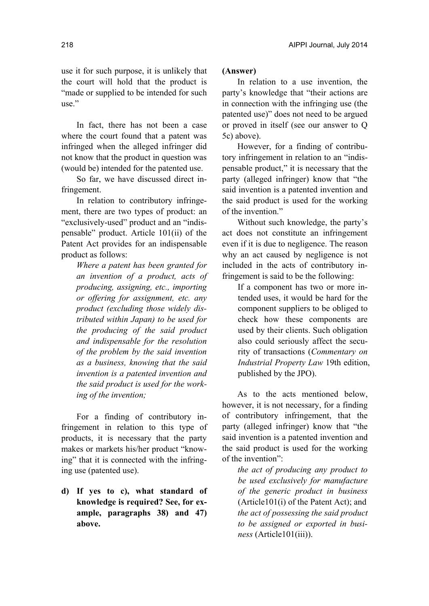In fact, there has not been a case where the court found that a patent was infringed when the alleged infringer did not know that the product in question was (would be) intended for the patented use.

So far, we have discussed direct infringement.

In relation to contributory infringement, there are two types of product: an "exclusively-used" product and an "indispensable" product. Article 101(ii) of the Patent Act provides for an indispensable product as follows:

> *Where a patent has been granted for an invention of a product, acts of producing, assigning, etc., importing or offering for assignment, etc. any product (excluding those widely distributed within Japan) to be used for the producing of the said product and indispensable for the resolution of the problem by the said invention as a business, knowing that the said invention is a patented invention and the said product is used for the working of the invention;*

For a finding of contributory infringement in relation to this type of products, it is necessary that the party makes or markets his/her product "knowing" that it is connected with the infringing use (patented use).

**d) If yes to c), what standard of knowledge is required? See, for example, paragraphs 38) and 47) above.** 

# **(Answer)**

In relation to a use invention, the party's knowledge that "their actions are in connection with the infringing use (the patented use)" does not need to be argued or proved in itself (see our answer to Q 5c) above).

However, for a finding of contributory infringement in relation to an "indispensable product," it is necessary that the party (alleged infringer) know that "the said invention is a patented invention and the said product is used for the working of the invention."

Without such knowledge, the party's act does not constitute an infringement even if it is due to negligence. The reason why an act caused by negligence is not included in the acts of contributory infringement is said to be the following:

> If a component has two or more intended uses, it would be hard for the component suppliers to be obliged to check how these components are used by their clients. Such obligation also could seriously affect the security of transactions (*Commentary on Industrial Property Law* 19th edition, published by the JPO).

As to the acts mentioned below, however, it is not necessary, for a finding of contributory infringement, that the party (alleged infringer) know that "the said invention is a patented invention and the said product is used for the working of the invention":

> *the act of producing any product to be used exclusively for manufacture of the generic product in business* (Article101(i) of the Patent Act); and *the act of possessing the said product to be assigned or exported in business* (Article101(iii)).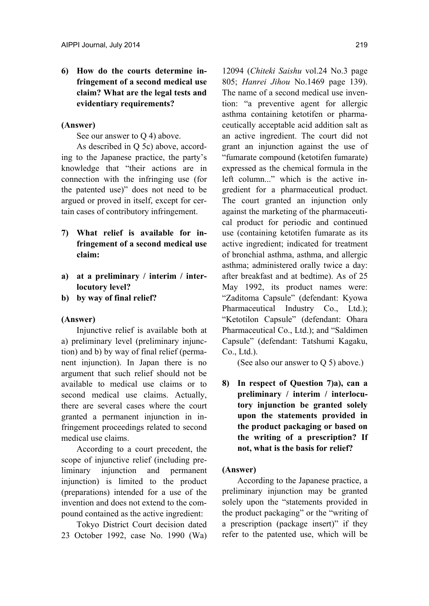**6) How do the courts determine infringement of a second medical use claim? What are the legal tests and evidentiary requirements?** 

# **(Answer)**

See our answer to Q 4) above.

As described in Q 5c) above, according to the Japanese practice, the party's knowledge that "their actions are in connection with the infringing use (for the patented use)" does not need to be argued or proved in itself, except for certain cases of contributory infringement.

- **7) What relief is available for infringement of a second medical use claim:**
- **a) at a preliminary / interim / interlocutory level?**
- **b) by way of final relief?**

#### **(Answer)**

Injunctive relief is available both at a) preliminary level (preliminary injunction) and b) by way of final relief (permanent injunction). In Japan there is no argument that such relief should not be available to medical use claims or to second medical use claims. Actually, there are several cases where the court granted a permanent injunction in infringement proceedings related to second medical use claims.

According to a court precedent, the scope of injunctive relief (including preliminary injunction and permanent injunction) is limited to the product (preparations) intended for a use of the invention and does not extend to the compound contained as the active ingredient:

Tokyo District Court decision dated 23 October 1992, case No. 1990 (Wa) 12094 (*Chiteki Saishu* vol.24 No.3 page 805; *Hanrei Jihou* No.1469 page 139). The name of a second medical use invention: "a preventive agent for allergic asthma containing ketotifen or pharmaceutically acceptable acid addition salt as an active ingredient. The court did not grant an injunction against the use of "fumarate compound (ketotifen fumarate) expressed as the chemical formula in the left column..." which is the active ingredient for a pharmaceutical product. The court granted an injunction only against the marketing of the pharmaceutical product for periodic and continued use (containing ketotifen fumarate as its active ingredient; indicated for treatment of bronchial asthma, asthma, and allergic asthma; administered orally twice a day: after breakfast and at bedtime). As of 25 May 1992, its product names were: "Zaditoma Capsule" (defendant: Kyowa Pharmaceutical Industry Co., Ltd.); "Ketotilon Capsule" (defendant: Ohara Pharmaceutical Co., Ltd.); and "Saldimen Capsule" (defendant: Tatshumi Kagaku,  $Co.$  Ltd.).

(See also our answer to Q 5) above.)

**8) In respect of Question 7)a), can a preliminary / interim / interlocutory injunction be granted solely upon the statements provided in the product packaging or based on the writing of a prescription? If not, what is the basis for relief?** 

#### **(Answer)**

According to the Japanese practice, a preliminary injunction may be granted solely upon the "statements provided in the product packaging" or the "writing of a prescription (package insert)" if they refer to the patented use, which will be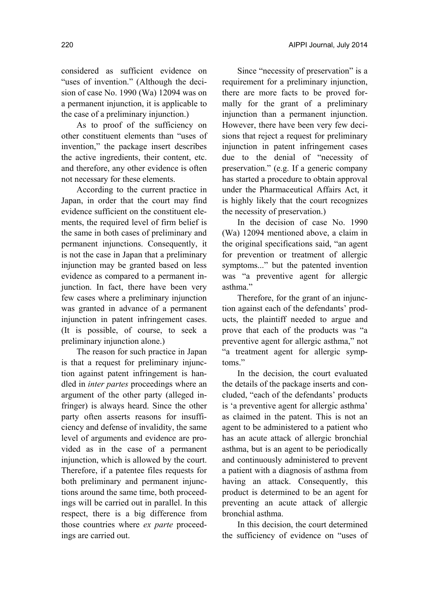considered as sufficient evidence on "uses of invention." (Although the decision of case No. 1990 (Wa) 12094 was on a permanent injunction, it is applicable to the case of a preliminary injunction.)

As to proof of the sufficiency on other constituent elements than "uses of invention," the package insert describes the active ingredients, their content, etc. and therefore, any other evidence is often not necessary for these elements.

According to the current practice in Japan, in order that the court may find evidence sufficient on the constituent elements, the required level of firm belief is the same in both cases of preliminary and permanent injunctions. Consequently, it is not the case in Japan that a preliminary injunction may be granted based on less evidence as compared to a permanent injunction. In fact, there have been very few cases where a preliminary injunction was granted in advance of a permanent injunction in patent infringement cases. (It is possible, of course, to seek a preliminary injunction alone.)

The reason for such practice in Japan is that a request for preliminary injunction against patent infringement is handled in *inter partes* proceedings where an argument of the other party (alleged infringer) is always heard. Since the other party often asserts reasons for insufficiency and defense of invalidity, the same level of arguments and evidence are provided as in the case of a permanent injunction, which is allowed by the court. Therefore, if a patentee files requests for both preliminary and permanent injunctions around the same time, both proceedings will be carried out in parallel. In this respect, there is a big difference from those countries where *ex parte* proceedings are carried out.

Since "necessity of preservation" is a requirement for a preliminary injunction, there are more facts to be proved formally for the grant of a preliminary injunction than a permanent injunction. However, there have been very few decisions that reject a request for preliminary injunction in patent infringement cases due to the denial of "necessity of preservation." (e.g. If a generic company has started a procedure to obtain approval under the Pharmaceutical Affairs Act, it is highly likely that the court recognizes the necessity of preservation.)

In the decision of case No. 1990 (Wa) 12094 mentioned above, a claim in the original specifications said, "an agent for prevention or treatment of allergic symptoms..." but the patented invention was "a preventive agent for allergic asthma."

Therefore, for the grant of an injunction against each of the defendants' products, the plaintiff needed to argue and prove that each of the products was "a preventive agent for allergic asthma," not "a treatment agent for allergic symptoms"

In the decision, the court evaluated the details of the package inserts and concluded, "each of the defendants' products is 'a preventive agent for allergic asthma' as claimed in the patent. This is not an agent to be administered to a patient who has an acute attack of allergic bronchial asthma, but is an agent to be periodically and continuously administered to prevent a patient with a diagnosis of asthma from having an attack. Consequently, this product is determined to be an agent for preventing an acute attack of allergic bronchial asthma.

In this decision, the court determined the sufficiency of evidence on "uses of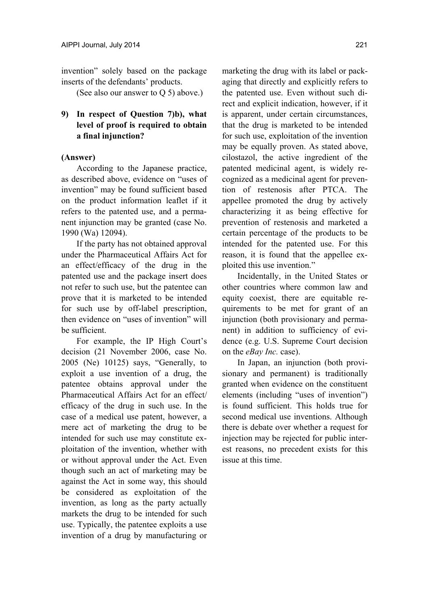invention" solely based on the package inserts of the defendants' products.

(See also our answer to Q 5) above.)

# **9) In respect of Question 7)b), what level of proof is required to obtain a final injunction?**

# **(Answer)**

According to the Japanese practice, as described above, evidence on "uses of invention" may be found sufficient based on the product information leaflet if it refers to the patented use, and a permanent injunction may be granted (case No. 1990 (Wa) 12094).

If the party has not obtained approval under the Pharmaceutical Affairs Act for an effect/efficacy of the drug in the patented use and the package insert does not refer to such use, but the patentee can prove that it is marketed to be intended for such use by off-label prescription, then evidence on "uses of invention" will be sufficient.

For example, the IP High Court's decision (21 November 2006, case No. 2005 (Ne) 10125) says, "Generally, to exploit a use invention of a drug, the patentee obtains approval under the Pharmaceutical Affairs Act for an effect/ efficacy of the drug in such use. In the case of a medical use patent, however, a mere act of marketing the drug to be intended for such use may constitute exploitation of the invention, whether with or without approval under the Act. Even though such an act of marketing may be against the Act in some way, this should be considered as exploitation of the invention, as long as the party actually markets the drug to be intended for such use. Typically, the patentee exploits a use invention of a drug by manufacturing or marketing the drug with its label or packaging that directly and explicitly refers to the patented use. Even without such direct and explicit indication, however, if it is apparent, under certain circumstances, that the drug is marketed to be intended for such use, exploitation of the invention may be equally proven. As stated above, cilostazol, the active ingredient of the patented medicinal agent, is widely recognized as a medicinal agent for prevention of restenosis after PTCA. The appellee promoted the drug by actively characterizing it as being effective for prevention of restenosis and marketed a certain percentage of the products to be intended for the patented use. For this reason, it is found that the appellee exploited this use invention."

Incidentally, in the United States or other countries where common law and equity coexist, there are equitable requirements to be met for grant of an injunction (both provisionary and permanent) in addition to sufficiency of evidence (e.g. U.S. Supreme Court decision on the *eBay Inc.* case).

In Japan, an injunction (both provisionary and permanent) is traditionally granted when evidence on the constituent elements (including "uses of invention") is found sufficient. This holds true for second medical use inventions. Although there is debate over whether a request for injection may be rejected for public interest reasons, no precedent exists for this issue at this time.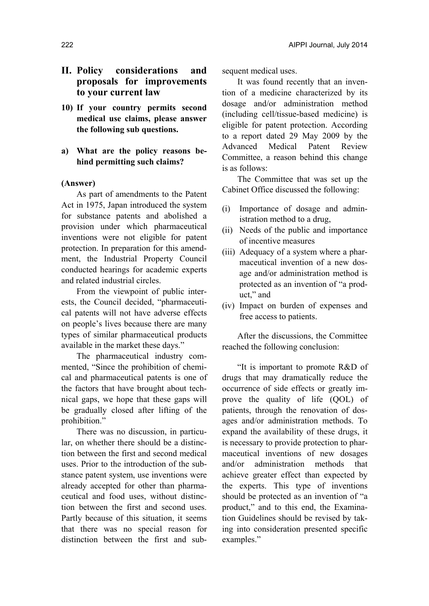# **II. Policy considerations and proposals for improvements to your current law**

**10) If your country permits second medical use claims, please answer the following sub questions.** 

# **a) What are the policy reasons behind permitting such claims?**

#### **(Answer)**

As part of amendments to the Patent Act in 1975, Japan introduced the system for substance patents and abolished a provision under which pharmaceutical inventions were not eligible for patent protection. In preparation for this amendment, the Industrial Property Council conducted hearings for academic experts and related industrial circles.

From the viewpoint of public interests, the Council decided, "pharmaceutical patents will not have adverse effects on people's lives because there are many types of similar pharmaceutical products available in the market these days."

The pharmaceutical industry commented, "Since the prohibition of chemical and pharmaceutical patents is one of the factors that have brought about technical gaps, we hope that these gaps will be gradually closed after lifting of the prohibition."

There was no discussion, in particular, on whether there should be a distinction between the first and second medical uses. Prior to the introduction of the substance patent system, use inventions were already accepted for other than pharmaceutical and food uses, without distinction between the first and second uses. Partly because of this situation, it seems that there was no special reason for distinction between the first and subsequent medical uses.

It was found recently that an invention of a medicine characterized by its dosage and/or administration method (including cell/tissue-based medicine) is eligible for patent protection. According to a report dated 29 May 2009 by the Advanced Medical Patent Review Committee, a reason behind this change is as follows:

The Committee that was set up the Cabinet Office discussed the following:

- (i) Importance of dosage and administration method to a drug,
- (ii) Needs of the public and importance of incentive measures
- (iii) Adequacy of a system where a pharmaceutical invention of a new dosage and/or administration method is protected as an invention of "a product," and
- (iv) Impact on burden of expenses and free access to patients.

After the discussions, the Committee reached the following conclusion:

"It is important to promote R&D of drugs that may dramatically reduce the occurrence of side effects or greatly improve the quality of life (QOL) of patients, through the renovation of dosages and/or administration methods. To expand the availability of these drugs, it is necessary to provide protection to pharmaceutical inventions of new dosages and/or administration methods that achieve greater effect than expected by the experts. This type of inventions should be protected as an invention of "a product," and to this end, the Examination Guidelines should be revised by taking into consideration presented specific examples."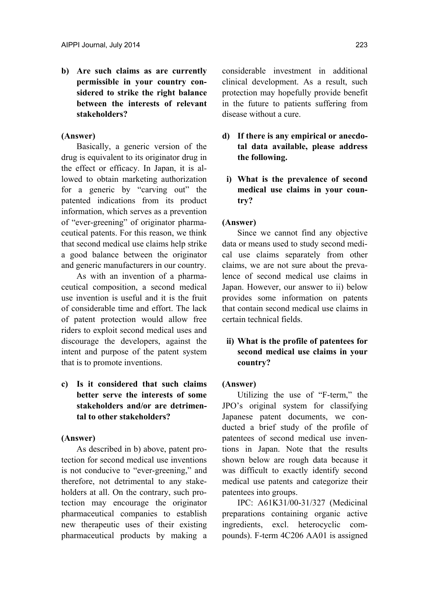**b) Are such claims as are currently permissible in your country considered to strike the right balance between the interests of relevant stakeholders?** 

# **(Answer)**

Basically, a generic version of the drug is equivalent to its originator drug in the effect or efficacy. In Japan, it is allowed to obtain marketing authorization for a generic by "carving out" the patented indications from its product information, which serves as a prevention of "ever-greening" of originator pharmaceutical patents. For this reason, we think that second medical use claims help strike a good balance between the originator and generic manufacturers in our country.

As with an invention of a pharmaceutical composition, a second medical use invention is useful and it is the fruit of considerable time and effort. The lack of patent protection would allow free riders to exploit second medical uses and discourage the developers, against the intent and purpose of the patent system that is to promote inventions.

**c) Is it considered that such claims better serve the interests of some stakeholders and/or are detrimental to other stakeholders?** 

# **(Answer)**

As described in b) above, patent protection for second medical use inventions is not conducive to "ever-greening," and therefore, not detrimental to any stakeholders at all. On the contrary, such protection may encourage the originator pharmaceutical companies to establish new therapeutic uses of their existing pharmaceutical products by making a considerable investment in additional clinical development. As a result, such protection may hopefully provide benefit in the future to patients suffering from disease without a cure.

- **d) If there is any empirical or anecdotal data available, please address the following.** 
	- **i) What is the prevalence of second medical use claims in your country?**

## **(Answer)**

Since we cannot find any objective data or means used to study second medical use claims separately from other claims, we are not sure about the prevalence of second medical use claims in Japan. However, our answer to ii) below provides some information on patents that contain second medical use claims in certain technical fields.

# **ii) What is the profile of patentees for second medical use claims in your country?**

#### **(Answer)**

Utilizing the use of "F-term," the JPO's original system for classifying Japanese patent documents, we conducted a brief study of the profile of patentees of second medical use inventions in Japan. Note that the results shown below are rough data because it was difficult to exactly identify second medical use patents and categorize their patentees into groups.

IPC: A61K31/00-31/327 (Medicinal preparations containing organic active ingredients, excl. heterocyclic compounds). F-term 4C206 AA01 is assigned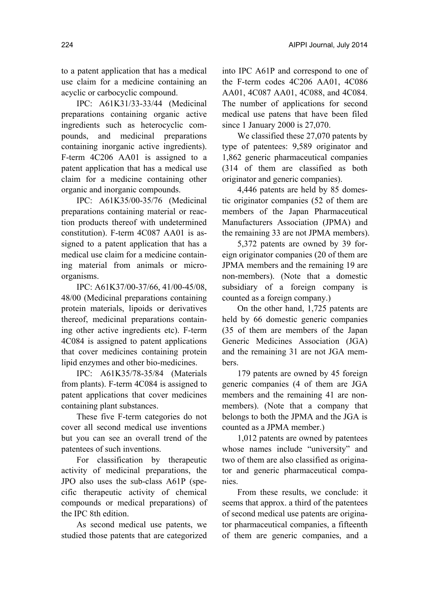to a patent application that has a medical use claim for a medicine containing an acyclic or carbocyclic compound.

IPC: A61K31/33-33/44 (Medicinal preparations containing organic active ingredients such as heterocyclic compounds, and medicinal preparations containing inorganic active ingredients). F-term 4C206 AA01 is assigned to a patent application that has a medical use claim for a medicine containing other organic and inorganic compounds.

IPC: A61K35/00-35/76 (Medicinal preparations containing material or reaction products thereof with undetermined constitution). F-term 4C087 AA01 is assigned to a patent application that has a medical use claim for a medicine containing material from animals or microorganisms.

IPC: A61K37/00-37/66, 41/00-45/08, 48/00 (Medicinal preparations containing protein materials, lipoids or derivatives thereof, medicinal preparations containing other active ingredients etc). F-term 4C084 is assigned to patent applications that cover medicines containing protein lipid enzymes and other bio-medicines.

IPC: A61K35/78-35/84 (Materials from plants). F-term 4C084 is assigned to patent applications that cover medicines containing plant substances.

These five F-term categories do not cover all second medical use inventions but you can see an overall trend of the patentees of such inventions.

For classification by therapeutic activity of medicinal preparations, the JPO also uses the sub-class A61P (specific therapeutic activity of chemical compounds or medical preparations) of the IPC 8th edition.

As second medical use patents, we studied those patents that are categorized into IPC A61P and correspond to one of the F-term codes 4C206 AA01, 4C086 AA01, 4C087 AA01, 4C088, and 4C084. The number of applications for second medical use patens that have been filed since 1 January 2000 is 27,070.

We classified these 27,070 patents by type of patentees: 9,589 originator and 1,862 generic pharmaceutical companies (314 of them are classified as both originator and generic companies).

4,446 patents are held by 85 domestic originator companies (52 of them are members of the Japan Pharmaceutical Manufacturers Association (JPMA) and the remaining 33 are not JPMA members).

5,372 patents are owned by 39 foreign originator companies (20 of them are JPMA members and the remaining 19 are non-members). (Note that a domestic subsidiary of a foreign company is counted as a foreign company.)

On the other hand, 1,725 patents are held by 66 domestic generic companies (35 of them are members of the Japan Generic Medicines Association (JGA) and the remaining 31 are not JGA members.

179 patents are owned by 45 foreign generic companies (4 of them are JGA members and the remaining 41 are nonmembers). (Note that a company that belongs to both the JPMA and the JGA is counted as a JPMA member.)

1,012 patents are owned by patentees whose names include "university" and two of them are also classified as originator and generic pharmaceutical companies.

From these results, we conclude: it seems that approx. a third of the patentees of second medical use patents are originator pharmaceutical companies, a fifteenth of them are generic companies, and a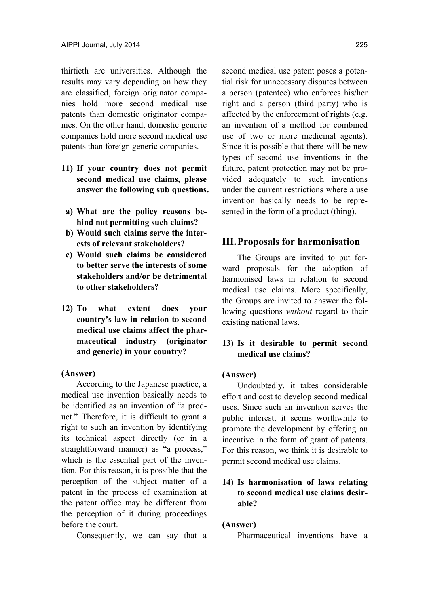thirtieth are universities. Although the results may vary depending on how they are classified, foreign originator companies hold more second medical use patents than domestic originator companies. On the other hand, domestic generic companies hold more second medical use patents than foreign generic companies.

- **11) If your country does not permit second medical use claims, please answer the following sub questions.**
- **a) What are the policy reasons behind not permitting such claims?**
- **b) Would such claims serve the interests of relevant stakeholders?**
- **c) Would such claims be considered to better serve the interests of some stakeholders and/or be detrimental to other stakeholders?**
- **12) To what extent does your country's law in relation to second medical use claims affect the pharmaceutical industry (originator and generic) in your country?**

### **(Answer)**

According to the Japanese practice, a medical use invention basically needs to be identified as an invention of "a product." Therefore, it is difficult to grant a right to such an invention by identifying its technical aspect directly (or in a straightforward manner) as "a process," which is the essential part of the invention. For this reason, it is possible that the perception of the subject matter of a patent in the process of examination at the patent office may be different from the perception of it during proceedings before the court.

Consequently, we can say that a

second medical use patent poses a potential risk for unnecessary disputes between a person (patentee) who enforces his/her right and a person (third party) who is affected by the enforcement of rights (e.g. an invention of a method for combined use of two or more medicinal agents). Since it is possible that there will be new types of second use inventions in the future, patent protection may not be provided adequately to such inventions under the current restrictions where a use invention basically needs to be represented in the form of a product (thing).

# **III. Proposals for harmonisation**

The Groups are invited to put forward proposals for the adoption of harmonised laws in relation to second medical use claims. More specifically, the Groups are invited to answer the following questions *without* regard to their existing national laws.

# **13) Is it desirable to permit second medical use claims?**

# **(Answer)**

Undoubtedly, it takes considerable effort and cost to develop second medical uses. Since such an invention serves the public interest, it seems worthwhile to promote the development by offering an incentive in the form of grant of patents. For this reason, we think it is desirable to permit second medical use claims.

# **14) Is harmonisation of laws relating to second medical use claims desirable?**

#### **(Answer)**

Pharmaceutical inventions have a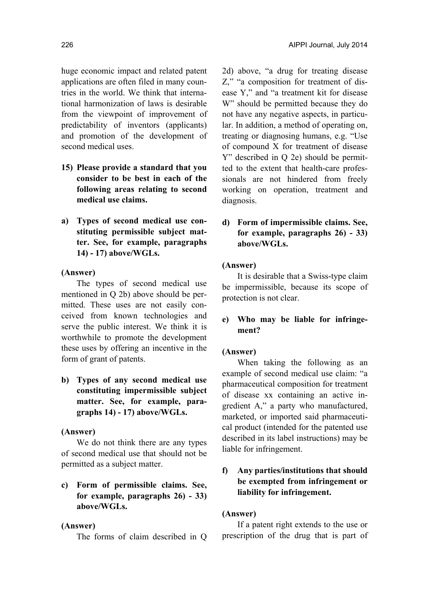huge economic impact and related patent applications are often filed in many countries in the world. We think that international harmonization of laws is desirable from the viewpoint of improvement of predictability of inventors (applicants) and promotion of the development of second medical uses.

- **15) Please provide a standard that you consider to be best in each of the following areas relating to second medical use claims.**
- **a) Types of second medical use constituting permissible subject matter. See, for example, paragraphs 14) - 17) above/WGLs.**

## **(Answer)**

The types of second medical use mentioned in Q 2b) above should be permitted. These uses are not easily conceived from known technologies and serve the public interest. We think it is worthwhile to promote the development these uses by offering an incentive in the form of grant of patents.

**b) Types of any second medical use constituting impermissible subject matter. See, for example, paragraphs 14) - 17) above/WGLs.** 

#### **(Answer)**

We do not think there are any types of second medical use that should not be permitted as a subject matter.

**c) Form of permissible claims. See, for example, paragraphs 26) - 33) above/WGLs.** 

#### **(Answer)**

The forms of claim described in Q

2d) above, "a drug for treating disease Z," "a composition for treatment of disease Y," and "a treatment kit for disease W" should be permitted because they do not have any negative aspects, in particular. In addition, a method of operating on, treating or diagnosing humans, e.g. "Use of compound X for treatment of disease Y" described in Q 2e) should be permitted to the extent that health-care professionals are not hindered from freely working on operation, treatment and diagnosis.

# **d) Form of impermissible claims. See, for example, paragraphs 26) - 33) above/WGLs.**

### **(Answer)**

It is desirable that a Swiss-type claim be impermissible, because its scope of protection is not clear.

# **e) Who may be liable for infringement?**

# **(Answer)**

When taking the following as an example of second medical use claim: "a pharmaceutical composition for treatment of disease xx containing an active ingredient A," a party who manufactured, marketed, or imported said pharmaceutical product (intended for the patented use described in its label instructions) may be liable for infringement.

# **f) Any parties/institutions that should be exempted from infringement or liability for infringement.**

#### **(Answer)**

If a patent right extends to the use or prescription of the drug that is part of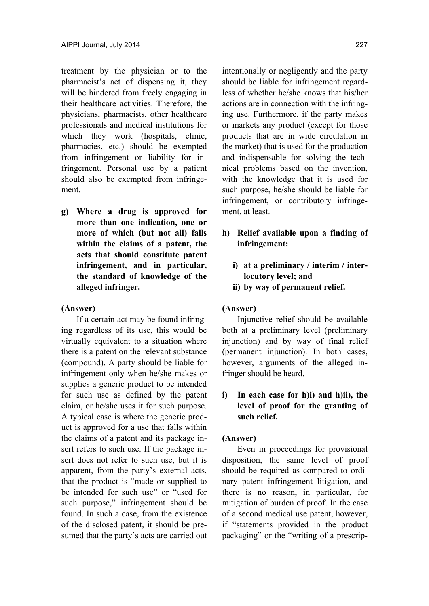treatment by the physician or to the pharmacist's act of dispensing it, they will be hindered from freely engaging in their healthcare activities. Therefore, the physicians, pharmacists, other healthcare professionals and medical institutions for which they work (hospitals, clinic, pharmacies, etc.) should be exempted from infringement or liability for infringement. Personal use by a patient should also be exempted from infringement.

**g) Where a drug is approved for more than one indication, one or more of which (but not all) falls within the claims of a patent, the acts that should constitute patent infringement, and in particular, the standard of knowledge of the alleged infringer.** 

#### **(Answer)**

If a certain act may be found infringing regardless of its use, this would be virtually equivalent to a situation where there is a patent on the relevant substance (compound). A party should be liable for infringement only when he/she makes or supplies a generic product to be intended for such use as defined by the patent claim, or he/she uses it for such purpose. A typical case is where the generic product is approved for a use that falls within the claims of a patent and its package insert refers to such use. If the package insert does not refer to such use, but it is apparent, from the party's external acts, that the product is "made or supplied to be intended for such use" or "used for such purpose," infringement should be found. In such a case, from the existence of the disclosed patent, it should be presumed that the party's acts are carried out

intentionally or negligently and the party should be liable for infringement regardless of whether he/she knows that his/her actions are in connection with the infringing use. Furthermore, if the party makes or markets any product (except for those products that are in wide circulation in the market) that is used for the production and indispensable for solving the technical problems based on the invention, with the knowledge that it is used for such purpose, he/she should be liable for infringement, or contributory infringement, at least.

- **h) Relief available upon a finding of infringement:** 
	- **i) at a preliminary / interim / interlocutory level; and**
	- **ii) by way of permanent relief.**

#### **(Answer)**

Injunctive relief should be available both at a preliminary level (preliminary injunction) and by way of final relief (permanent injunction). In both cases, however, arguments of the alleged infringer should be heard.

# **i) In each case for h)i) and h)ii), the level of proof for the granting of such relief.**

### **(Answer)**

Even in proceedings for provisional disposition, the same level of proof should be required as compared to ordinary patent infringement litigation, and there is no reason, in particular, for mitigation of burden of proof. In the case of a second medical use patent, however, if "statements provided in the product packaging" or the "writing of a prescrip-